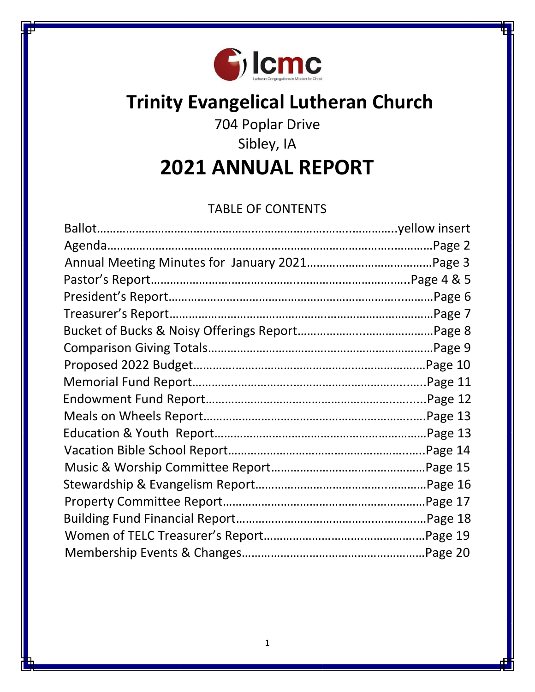

# **Trinity Evangelical Lutheran Church**

# 704 Poplar Drive

# Sibley, IA

**2021 ANNUAL REPORT**

# TABLE OF CONTENTS

| Treasurer's Report. |  |
|---------------------|--|
|                     |  |
|                     |  |
|                     |  |
|                     |  |
|                     |  |
|                     |  |
|                     |  |
|                     |  |
|                     |  |
|                     |  |
|                     |  |
|                     |  |
|                     |  |
|                     |  |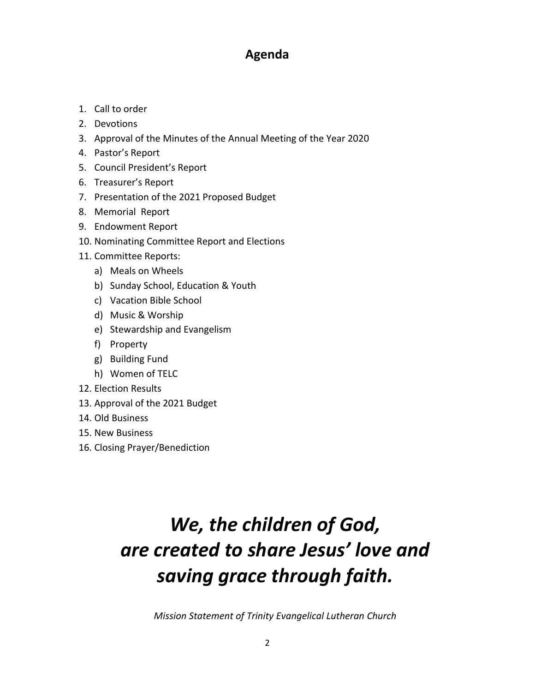# **Agenda**

- 1. Call to order
- 2. Devotions
- 3. Approval of the Minutes of the Annual Meeting of the Year 2020
- 4. Pastor's Report
- 5. Council President's Report
- 6. Treasurer's Report
- 7. Presentation of the 2021 Proposed Budget
- 8. Memorial Report
- 9. Endowment Report
- 10. Nominating Committee Report and Elections
- 11. Committee Reports:
	- a) Meals on Wheels
	- b) Sunday School, Education & Youth
	- c) Vacation Bible School
	- d) Music & Worship
	- e) Stewardship and Evangelism
	- f) Property
	- g) Building Fund
	- h) Women of TELC
- 12. Election Results
- 13. Approval of the 2021 Budget
- 14. Old Business
- 15. New Business
- 16. Closing Prayer/Benediction

# *We, the children of God, are created to share Jesus' love and saving grace through faith.*

*Mission Statement of Trinity Evangelical Lutheran Church*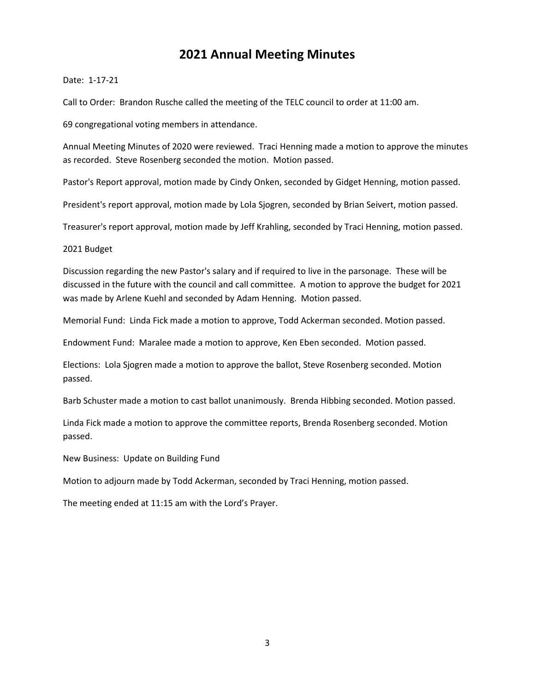### **2021 Annual Meeting Minutes**

#### Date: 1-17-21

Call to Order:Brandon Rusche called the meeting of the TELC council to order at 11:00 am.

69 congregational voting members in attendance.

Annual Meeting Minutes of 2020 were reviewed. Traci Henning made a motion to approve the minutes as recorded. Steve Rosenberg seconded the motion. Motion passed.

Pastor's Report approval, motion made by Cindy Onken, seconded by Gidget Henning, motion passed.

President's report approval, motion made by Lola Sjogren, seconded by Brian Seivert, motion passed.

Treasurer's report approval, motion made by Jeff Krahling, seconded by Traci Henning, motion passed.

#### 2021 Budget

Discussion regarding the new Pastor's salary and if required to live in the parsonage. These will be discussed in the future with the council and call committee. A motion to approve the budget for 2021 was made by Arlene Kuehl and seconded by Adam Henning. Motion passed.

Memorial Fund: Linda Fick made a motion to approve, Todd Ackerman seconded. Motion passed.

Endowment Fund: Maralee made a motion to approve, Ken Eben seconded. Motion passed.

Elections: Lola Sjogren made a motion to approve the ballot, Steve Rosenberg seconded. Motion passed.

Barb Schuster made a motion to cast ballot unanimously. Brenda Hibbing seconded. Motion passed.

Linda Fick made a motion to approve the committee reports, Brenda Rosenberg seconded. Motion passed.

New Business: Update on Building Fund

Motion to adjourn made by Todd Ackerman, seconded by Traci Henning, motion passed.

The meeting ended at 11:15 am with the Lord's Prayer.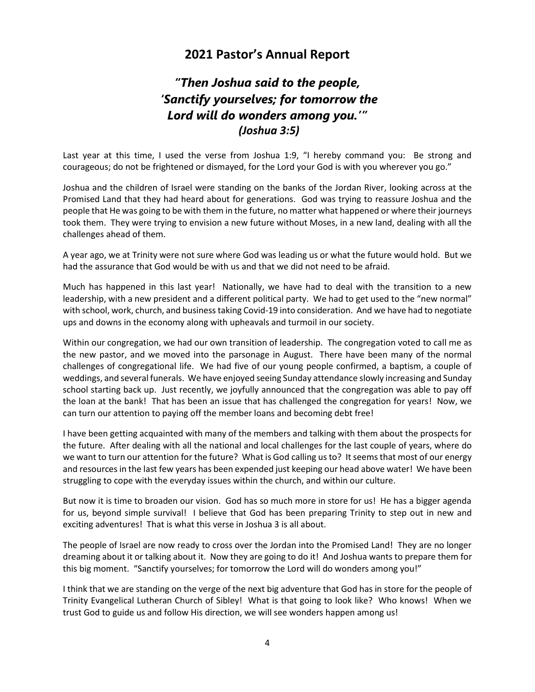### **2021 Pastor's Annual Report**

# *"Then Joshua said to the people, 'Sanctify yourselves; for tomorrow the Lord will do wonders among you.'" (Joshua 3:5)*

Last year at this time, I used the verse from Joshua 1:9, "I hereby command you: Be strong and courageous; do not be frightened or dismayed, for the Lord your God is with you wherever you go."

Joshua and the children of Israel were standing on the banks of the Jordan River, looking across at the Promised Land that they had heard about for generations. God was trying to reassure Joshua and the people that He was going to be with them in the future, no matter what happened or where their journeys took them. They were trying to envision a new future without Moses, in a new land, dealing with all the challenges ahead of them.

A year ago, we at Trinity were not sure where God was leading us or what the future would hold. But we had the assurance that God would be with us and that we did not need to be afraid.

Much has happened in this last year! Nationally, we have had to deal with the transition to a new leadership, with a new president and a different political party. We had to get used to the "new normal" with school, work, church, and business taking Covid-19 into consideration. And we have had to negotiate ups and downs in the economy along with upheavals and turmoil in our society.

Within our congregation, we had our own transition of leadership. The congregation voted to call me as the new pastor, and we moved into the parsonage in August. There have been many of the normal challenges of congregational life. We had five of our young people confirmed, a baptism, a couple of weddings, and several funerals. We have enjoyed seeing Sunday attendance slowly increasing and Sunday school starting back up. Just recently, we joyfully announced that the congregation was able to pay off the loan at the bank! That has been an issue that has challenged the congregation for years! Now, we can turn our attention to paying off the member loans and becoming debt free!

I have been getting acquainted with many of the members and talking with them about the prospects for the future. After dealing with all the national and local challenges for the last couple of years, where do we want to turn our attention for the future? What is God calling us to? It seems that most of our energy and resources in the last few years has been expended just keeping our head above water! We have been struggling to cope with the everyday issues within the church, and within our culture.

But now it is time to broaden our vision. God has so much more in store for us! He has a bigger agenda for us, beyond simple survival! I believe that God has been preparing Trinity to step out in new and exciting adventures! That is what this verse in Joshua 3 is all about.

The people of Israel are now ready to cross over the Jordan into the Promised Land! They are no longer dreaming about it or talking about it. Now they are going to do it! And Joshua wants to prepare them for this big moment. "Sanctify yourselves; for tomorrow the Lord will do wonders among you!"

I think that we are standing on the verge of the next big adventure that God has in store for the people of Trinity Evangelical Lutheran Church of Sibley! What is that going to look like? Who knows! When we trust God to guide us and follow His direction, we will see wonders happen among us!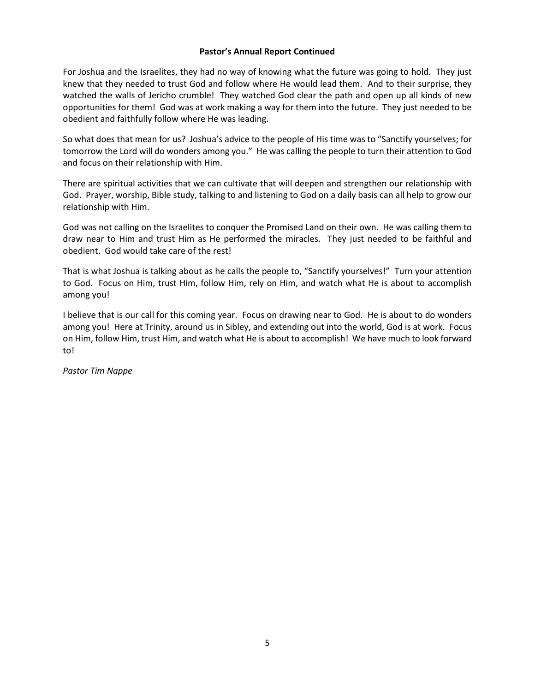#### **Pastor's Annual Report Continued**

For Joshua and the Israelites, they had no way of knowing what the future was going to hold. They just knew that they needed to trust God and follow where He would lead them. And to their surprise, they watched the walls of Jericho crumble! They watched God clear the path and open up all kinds of new opportunities for them! God was at work making a way for them into the future. They just needed to be obedient and faithfully follow where He was leading.

So what does that mean for us? Joshua's advice to the people of His time was to "Sanctify yourselves; for tomorrow the Lord will do wonders among you." He was calling the people to turn their attention to God and focus on their relationship with Him.

There are spiritual activities that we can cultivate that will deepen and strengthen our relationship with God. Prayer, worship, Bible study, talking to and listening to God on a daily basis can all help to grow our relationship with Him.

God was not calling on the Israelites to conquer the Promised Land on their own. He was calling them to draw near to Him and trust Him as He performed the miracles. They just needed to be faithful and obedient. God would take care of the rest!

That is what Joshua is talking about as he calls the people to, "Sanctify yourselves!" Turn your attention to God. Focus on Him, trust Him, follow Him, rely on Him, and watch what He is about to accomplish among you!

I believe that is our call for this coming year. Focus on drawing near to God. He is about to do wonders among you! Here at Trinity, around us in Sibley, and extending out into the world, God is at work. Focus on Him, follow Him, trust Him, and watch what He is about to accomplish! We have much to look forward to!

*Pastor Tim Nappe*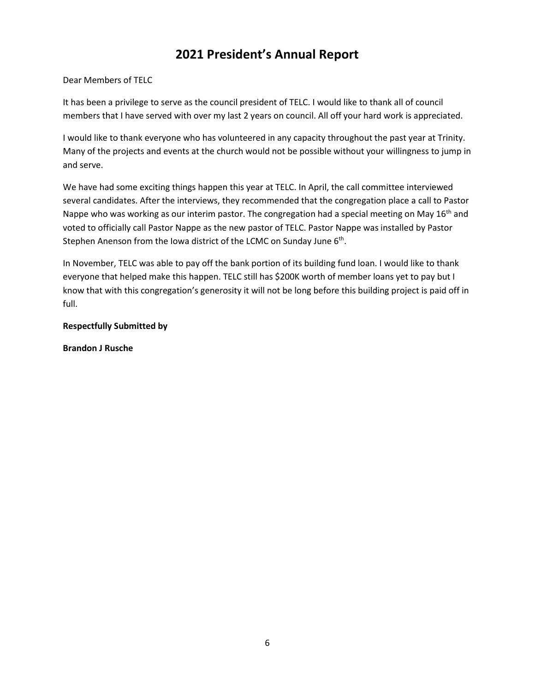# **2021 President's Annual Report**

#### Dear Members of TELC

It has been a privilege to serve as the council president of TELC. I would like to thank all of council members that I have served with over my last 2 years on council. All off your hard work is appreciated.

I would like to thank everyone who has volunteered in any capacity throughout the past year at Trinity. Many of the projects and events at the church would not be possible without your willingness to jump in and serve.

We have had some exciting things happen this year at TELC. In April, the call committee interviewed several candidates. After the interviews, they recommended that the congregation place a call to Pastor Nappe who was working as our interim pastor. The congregation had a special meeting on May 16<sup>th</sup> and voted to officially call Pastor Nappe as the new pastor of TELC. Pastor Nappe was installed by Pastor Stephen Anenson from the Iowa district of the LCMC on Sunday June 6<sup>th</sup>.

In November, TELC was able to pay off the bank portion of its building fund loan. I would like to thank everyone that helped make this happen. TELC still has \$200K worth of member loans yet to pay but I know that with this congregation's generosity it will not be long before this building project is paid off in full.

#### **Respectfully Submitted by**

#### **Brandon J Rusche**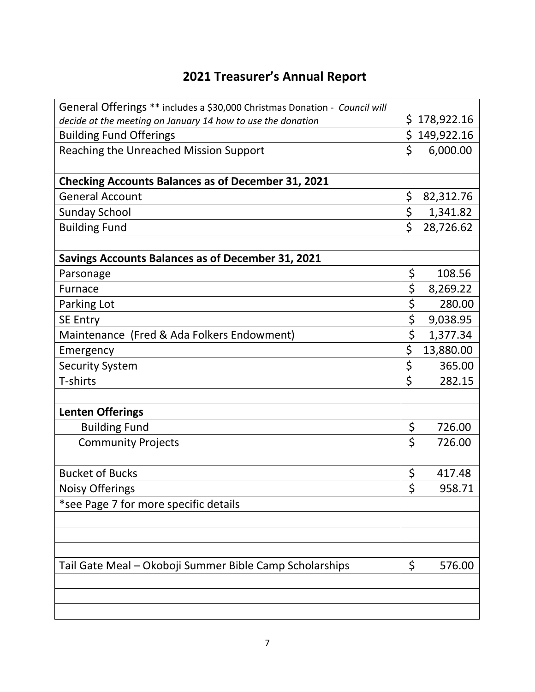# **2021 Treasurer's Annual Report**

| General Offerings ** includes a \$30,000 Christmas Donation - Council will |         |            |
|----------------------------------------------------------------------------|---------|------------|
| decide at the meeting on January 14 how to use the donation                | \$      | 178,922.16 |
| <b>Building Fund Offerings</b>                                             | \$      | 149,922.16 |
| Reaching the Unreached Mission Support                                     | \$      | 6,000.00   |
|                                                                            |         |            |
| <b>Checking Accounts Balances as of December 31, 2021</b>                  |         |            |
| <b>General Account</b>                                                     | \$      | 82,312.76  |
| <b>Sunday School</b>                                                       | \$      | 1,341.82   |
| <b>Building Fund</b>                                                       | \$      | 28,726.62  |
|                                                                            |         |            |
| <b>Savings Accounts Balances as of December 31, 2021</b>                   |         |            |
| Parsonage                                                                  | \$      | 108.56     |
| Furnace                                                                    | \$      | 8,269.22   |
| Parking Lot                                                                | \$      | 280.00     |
| <b>SE Entry</b>                                                            | \$      | 9,038.95   |
| Maintenance (Fred & Ada Folkers Endowment)                                 | \$      | 1,377.34   |
| Emergency                                                                  | \$      | 13,880.00  |
| <b>Security System</b>                                                     | \$      | 365.00     |
| T-shirts                                                                   | \$      | 282.15     |
|                                                                            |         |            |
| <b>Lenten Offerings</b>                                                    |         |            |
| <b>Building Fund</b>                                                       | \$      | 726.00     |
| <b>Community Projects</b>                                                  | \$      | 726.00     |
|                                                                            |         |            |
| <b>Bucket of Bucks</b>                                                     | \$      | 417.48     |
| <b>Noisy Offerings</b>                                                     | $\zeta$ | 958.71     |
| *see Page 7 for more specific details                                      |         |            |
|                                                                            |         |            |
|                                                                            |         |            |
|                                                                            |         |            |
| Tail Gate Meal - Okoboji Summer Bible Camp Scholarships                    | \$      | 576.00     |
|                                                                            |         |            |
|                                                                            |         |            |
|                                                                            |         |            |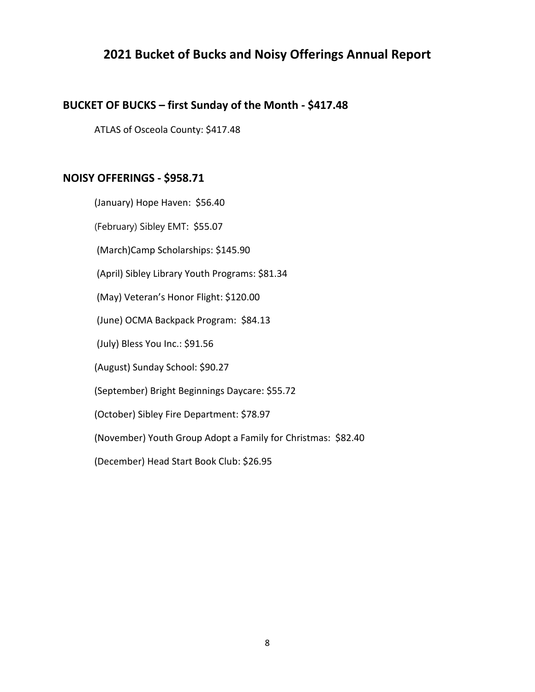## **2021 Bucket of Bucks and Noisy Offerings Annual Report**

### **BUCKET OF BUCKS – first Sunday of the Month - \$417.48**

ATLAS of Osceola County: \$417.48

### **NOISY OFFERINGS - \$958.71**

(January) Hope Haven: \$56.40 (February) Sibley EMT: \$55.07 (March)Camp Scholarships: \$145.90 (April) Sibley Library Youth Programs: \$81.34 (May) Veteran's Honor Flight: \$120.00 (June) OCMA Backpack Program: \$84.13 (July) Bless You Inc.: \$91.56 (August) Sunday School: \$90.27 (September) Bright Beginnings Daycare: \$55.72 (October) Sibley Fire Department: \$78.97 (November) Youth Group Adopt a Family for Christmas: \$82.40 (December) Head Start Book Club: \$26.95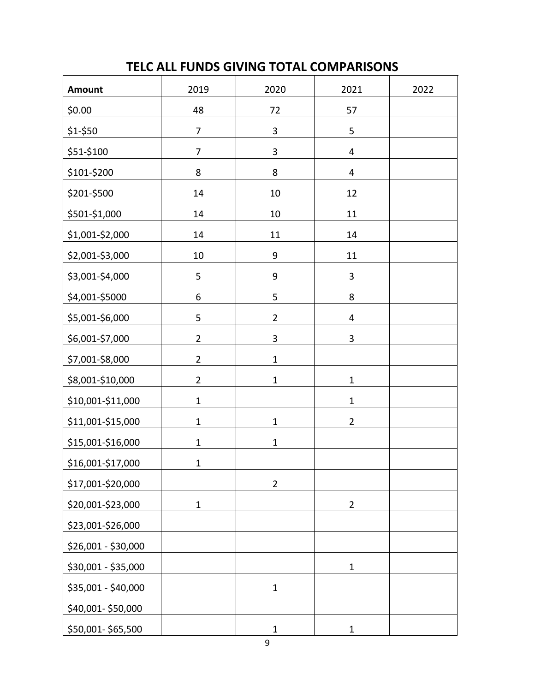# **TELC ALL FUNDS GIVING TOTAL COMPARISONS**

| Amount              | 2019           | 2020           | 2021           | 2022 |
|---------------------|----------------|----------------|----------------|------|
| \$0.00              | 48             | 72             | 57             |      |
| \$1-\$50            | $\overline{7}$ | $\mathbf{3}$   | 5              |      |
| \$51-\$100          | $\overline{7}$ | $\mathbf{3}$   | 4              |      |
| \$101-\$200         | 8              | 8              | 4              |      |
| \$201-\$500         | 14             | 10             | 12             |      |
| \$501-\$1,000       | 14             | 10             | 11             |      |
| \$1,001-\$2,000     | 14             | 11             | 14             |      |
| \$2,001-\$3,000     | 10             | 9              | 11             |      |
| \$3,001-\$4,000     | 5              | 9              | 3              |      |
| \$4,001-\$5000      | 6              | 5              | 8              |      |
| \$5,001-\$6,000     | 5              | $\overline{2}$ | 4              |      |
| \$6,001-\$7,000     | $\overline{2}$ | 3              | 3              |      |
| \$7,001-\$8,000     | $\overline{2}$ | $\mathbf 1$    |                |      |
| \$8,001-\$10,000    | $\overline{2}$ | $\mathbf 1$    | $\mathbf{1}$   |      |
| \$10,001-\$11,000   | $\mathbf 1$    |                | $\mathbf 1$    |      |
| \$11,001-\$15,000   | $\mathbf 1$    | $\mathbf 1$    | $\overline{2}$ |      |
| \$15,001-\$16,000   | $\mathbf 1$    | $\mathbf 1$    |                |      |
| \$16,001-\$17,000   | $\mathbf 1$    |                |                |      |
| \$17,001-\$20,000   |                | $\overline{2}$ |                |      |
| \$20,001-\$23,000   | $\mathbf{1}$   |                | $\overline{2}$ |      |
| \$23,001-\$26,000   |                |                |                |      |
| \$26,001 - \$30,000 |                |                |                |      |
| \$30,001 - \$35,000 |                |                | $\mathbf 1$    |      |
| \$35,001 - \$40,000 |                | $\mathbf 1$    |                |      |
| \$40,001-\$50,000   |                |                |                |      |
| \$50,001-\$65,500   |                | $\mathbf 1$    | $\mathbf 1$    |      |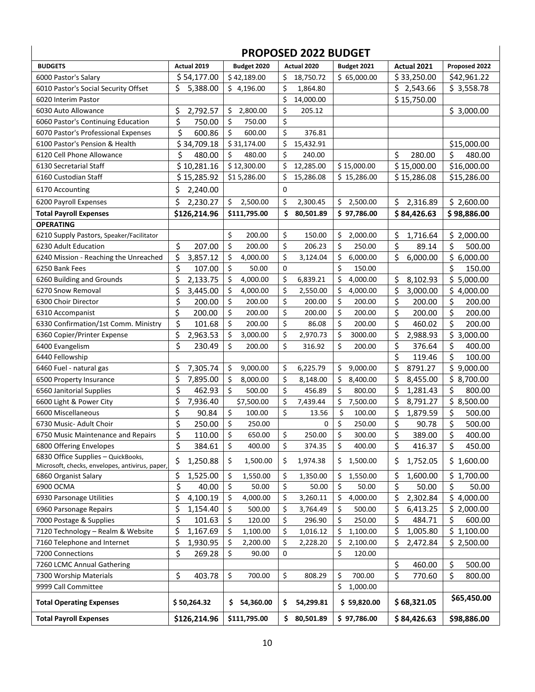### **PROPOSED 2022 BUDGET**

 $\overline{\phantom{a}}$ 

 $\overline{\phantom{a}}$ 

| <b>BUDGETS</b>                                                                        | Actual 2019    | Budget 2020      |     | Actual 2020 | Budget 2021     | Actual 2021    | Proposed 2022  |
|---------------------------------------------------------------------------------------|----------------|------------------|-----|-------------|-----------------|----------------|----------------|
| 6000 Pastor's Salary                                                                  | \$54,177.00    | \$42,189.00      | \$  | 18,750.72   | \$65,000.00     | \$33,250.00    | \$42,961.22    |
| 6010 Pastor's Social Security Offset                                                  | \$<br>5,388.00 | \$4,196.00       | \$  | 1,864.80    |                 | \$2,543.66     | \$3,558.78     |
| 6020 Interim Pastor                                                                   |                |                  | \$  | 14,000.00   |                 | \$15,750.00    |                |
| 6030 Auto Allowance                                                                   | \$<br>2,792.57 | \$<br>2,800.00   | \$  | 205.12      |                 |                | \$3,000.00     |
| 6060 Pastor's Continuing Education                                                    | \$<br>750.00   | \$<br>750.00     | \$  |             |                 |                |                |
| 6070 Pastor's Professional Expenses                                                   | \$<br>600.86   | \$<br>600.00     | \$  | 376.81      |                 |                |                |
| 6100 Pastor's Pension & Health                                                        | \$34,709.18    | \$31,174.00      | \$  | 15,432.91   |                 |                | \$15,000.00    |
| 6120 Cell Phone Allowance                                                             | \$<br>480.00   | \$<br>480.00     | \$  | 240.00      |                 | \$<br>280.00   | \$<br>480.00   |
| 6130 Secretarial Staff                                                                | \$10,281.16    | \$12,300.00      | \$  | 12,285.00   | \$15,000.00     | \$15,000.00    | \$16,000.00    |
| 6160 Custodian Staff                                                                  | \$15,285.92    | \$15,286.00      | \$  | 15,286.08   | \$15,286.00     | \$15,286.08    | \$15,286.00    |
| 6170 Accounting                                                                       | \$<br>2,240.00 |                  | 0   |             |                 |                |                |
| 6200 Payroll Expenses                                                                 | \$<br>2,230.27 | \$<br>2,500.00   | \$  | 2,300.45    | 2,500.00<br>\$. | \$<br>2,316.89 | \$2,600.00     |
| <b>Total Payroll Expenses</b>                                                         | \$126,214.96   | \$111,795.00     | \$  | 80,501.89   | \$97,786.00     | \$84,426.63    | \$98,886.00    |
| <b>OPERATING</b>                                                                      |                |                  |     |             |                 |                |                |
| 6210 Supply Pastors, Speaker/Facilitator                                              |                | \$<br>200.00     | \$  | 150.00      | \$<br>2,000.00  | \$<br>1,716.64 | \$2,000.00     |
| 6230 Adult Education                                                                  | \$<br>207.00   | \$<br>200.00     | \$  | 206.23      | \$<br>250.00    | \$<br>89.14    | \$<br>500.00   |
| 6240 Mission - Reaching the Unreached                                                 | \$<br>3,857.12 | \$<br>4,000.00   | \$  | 3,124.04    | \$<br>6,000.00  | \$<br>6,000.00 | \$6,000.00     |
| 6250 Bank Fees                                                                        | \$<br>107.00   | \$<br>50.00      | 0   |             | \$<br>150.00    |                | \$<br>150.00   |
| 6260 Building and Grounds                                                             | \$<br>2,133.75 | \$<br>4,000.00   | \$  | 6,839.21    | \$<br>4,000.00  | \$<br>8,102.93 | \$5,000.00     |
| 6270 Snow Removal                                                                     | \$<br>3,445.00 | \$<br>4,000.00   | \$  | 2,550.00    | \$<br>4,000.00  | \$<br>3,000.00 | \$4,000.00     |
| 6300 Choir Director                                                                   | \$<br>200.00   | \$<br>200.00     | \$  | 200.00      | \$<br>200.00    | \$<br>200.00   | \$<br>200.00   |
| 6310 Accompanist                                                                      | \$<br>200.00   | \$<br>200.00     | \$  | 200.00      | \$<br>200.00    | \$<br>200.00   | \$<br>200.00   |
| 6330 Confirmation/1st Comm. Ministry                                                  | \$<br>101.68   | \$<br>200.00     | \$  | 86.08       | \$<br>200.00    | \$<br>460.02   | \$<br>200.00   |
| 6360 Copier/Printer Expense                                                           | \$<br>2,963.53 | \$<br>3,000.00   | \$  | 2,970.73    | \$<br>3000.00   | \$<br>2,988.93 | \$3,000.00     |
| 6400 Evangelism                                                                       | \$<br>230.49   | \$<br>200.00     | \$  | 316.92      | \$<br>200.00    | \$<br>376.64   | \$<br>400.00   |
| 6440 Fellowship                                                                       |                |                  |     |             |                 | \$<br>119.46   | \$<br>100.00   |
| 6460 Fuel - natural gas                                                               | \$<br>7,305.74 | \$<br>9,000.00   | \$  | 6,225.79    | \$<br>9,000.00  | \$<br>8791.27  | \$9,000.00     |
| 6500 Property Insurance                                                               | \$<br>7,895.00 | \$<br>8,000.00   | \$  | 8,148.00    | \$<br>8,400.00  | \$<br>8,455.00 | \$8,700.00     |
| 6560 Janitorial Supplies                                                              | \$<br>462.93   | \$<br>500.00     | \$  | 456.89      | \$<br>800.00    | \$<br>1,281.43 | \$<br>800.00   |
| 6600 Light & Power City                                                               | \$<br>7,936.40 | \$7,500.00       | \$  | 7,439.44    | \$<br>7,500.00  | \$<br>8,791.27 | \$8,500.00     |
| 6600 Miscellaneous                                                                    | \$<br>90.84    | \$<br>100.00     | \$  | 13.56       | \$<br>100.00    | \$<br>1,879.59 | \$<br>500.00   |
| 6730 Music- Adult Choir                                                               | \$<br>250.00   | \$<br>250.00     |     | 0           | \$<br>250.00    | \$<br>90.78    | \$<br>500.00   |
| 6750 Music Maintenance and Repairs                                                    | \$<br>110.00   | \$<br>650.00     | \$  | 250.00      | \$<br>300.00    | \$<br>389.00   | \$<br>400.00   |
| 6800 Offering Envelopes                                                               | \$<br>384.61   | \$<br>400.00     | \$  | 374.35      | \$<br>400.00    | \$<br>416.37   | \$<br>450.00   |
| 6830 Office Supplies - QuickBooks,<br>Microsoft, checks, envelopes, antivirus, paper, | \$<br>1,250.88 | 1,500.00<br>\$   | \$  | 1,974.38    | 1,500.00<br>\$. | 1,752.05<br>\$ | \$1,600.00     |
| 6860 Organist Salary                                                                  | \$<br>1,525.00 | \$<br>1,550.00   | \$  | 1,350.00    | 1,550.00<br>\$. | \$<br>1,600.00 | \$1,700.00     |
| 6900 OCMA                                                                             | \$<br>40.00    | \$<br>50.00      | \$  | 50.00       | \$<br>50.00     | \$<br>50.00    | \$<br>50.00    |
| 6930 Parsonage Utilities                                                              | \$<br>4,100.19 | \$<br>4,000.00   | \$  | 3,260.11    | \$<br>4,000.00  | \$<br>2,302.84 | 4,000.00<br>\$ |
| 6960 Parsonage Repairs                                                                | \$<br>1,154.40 | \$<br>500.00     | \$  | 3,764.49    | \$<br>500.00    | \$<br>6,413.25 | \$2,000.00     |
| 7000 Postage & Supplies                                                               | \$<br>101.63   | \$<br>120.00     | \$  | 296.90      | \$<br>250.00    | \$<br>484.71   | \$<br>600.00   |
| 7120 Technology - Realm & Website                                                     | \$<br>1,167.69 | \$<br>1,100.00   | \$  | 1,016.12    | 1,100.00<br>\$  | \$<br>1,005.80 | \$1,100.00     |
| 7160 Telephone and Internet                                                           | \$<br>1,930.95 | \$<br>2,200.00   | \$  | 2,228.20    | \$<br>2,100.00  | \$<br>2,472.84 | \$2,500.00     |
| 7200 Connections                                                                      | \$<br>269.28   | \$<br>90.00      | 0   |             | \$<br>120.00    |                |                |
| 7260 LCMC Annual Gathering                                                            |                |                  |     |             |                 | \$<br>460.00   | \$<br>500.00   |
| 7300 Worship Materials                                                                | \$<br>403.78   | \$<br>700.00     | \$  | 808.29      | \$<br>700.00    | \$<br>770.60   | \$<br>800.00   |
| 9999 Call Committee                                                                   |                |                  |     |             | \$<br>1,000.00  |                |                |
| <b>Total Operating Expenses</b>                                                       | \$50,264.32    | \$.<br>54,360.00 | \$  | 54,299.81   | \$59,820.00     | \$68,321.05    | \$65,450.00    |
| <b>Total Payroll Expenses</b>                                                         | \$126,214.96   | \$111,795.00     | \$. | 80,501.89   | \$97,786.00     | \$84,426.63    | \$98,886.00    |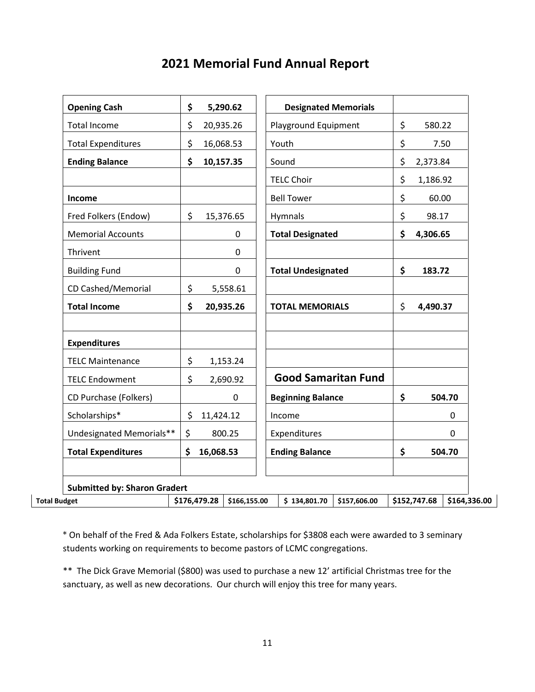# **2021 Memorial Fund Annual Report**

| <b>Opening Cash</b>                 | \$              |              | 5,290.62     |              | <b>Designated Memorials</b> |              |                |              |
|-------------------------------------|-----------------|--------------|--------------|--------------|-----------------------------|--------------|----------------|--------------|
| <b>Total Income</b>                 | \$              |              | 20,935.26    |              | Playground Equipment        |              | \$<br>580.22   |              |
| <b>Total Expenditures</b>           | \$              |              | 16,068.53    | Youth        |                             | \$<br>7.50   |                |              |
| <b>Ending Balance</b>               | \$              |              | 10,157.35    |              | Sound                       |              | \$<br>2,373.84 |              |
|                                     |                 |              |              |              | <b>TELC Choir</b>           |              | \$<br>1,186.92 |              |
| Income                              |                 |              |              |              | <b>Bell Tower</b>           |              | \$<br>60.00    |              |
| Fred Folkers (Endow)                | \$              |              | 15,376.65    |              | Hymnals                     |              | \$<br>98.17    |              |
| <b>Memorial Accounts</b>            |                 |              | 0            |              | <b>Total Designated</b>     |              | \$<br>4,306.65 |              |
| Thrivent                            |                 |              | $\mathbf 0$  |              |                             |              |                |              |
| <b>Building Fund</b>                |                 |              | 0            |              | <b>Total Undesignated</b>   |              | \$<br>183.72   |              |
| CD Cashed/Memorial                  | \$              |              | 5,558.61     |              |                             |              |                |              |
| <b>Total Income</b>                 | \$              |              | 20,935.26    |              | <b>TOTAL MEMORIALS</b>      |              | \$<br>4,490.37 |              |
| <b>Expenditures</b>                 |                 |              |              |              |                             |              |                |              |
| <b>TELC Maintenance</b>             | \$              |              | 1,153.24     |              |                             |              |                |              |
| <b>TELC Endowment</b>               | \$              |              | 2,690.92     |              | <b>Good Samaritan Fund</b>  |              |                |              |
| CD Purchase (Folkers)               |                 |              | 0            |              | <b>Beginning Balance</b>    |              | \$             | 504.70       |
| Scholarships*                       | \$<br>11,424.12 |              |              | Income       |                             |              | 0              |              |
| Undesignated Memorials**            | \$              | 800.25       |              | Expenditures |                             |              | $\Omega$       |              |
| <b>Total Expenditures</b>           | \$              | 16,068.53    |              |              | <b>Ending Balance</b>       |              | \$             | 504.70       |
| <b>Submitted by: Sharon Gradert</b> |                 |              |              |              |                             |              |                |              |
| <b>Total Budget</b>                 |                 | \$176,479.28 | \$166,155.00 |              | \$134,801.70                | \$157,606.00 | \$152,747.68   | \$164,336.00 |

\* On behalf of the Fred & Ada Folkers Estate, scholarships for \$3808 each were awarded to 3 seminary students working on requirements to become pastors of LCMC congregations.

\*\* The Dick Grave Memorial (\$800) was used to purchase a new 12' artificial Christmas tree for the sanctuary, as well as new decorations. Our church will enjoy this tree for many years.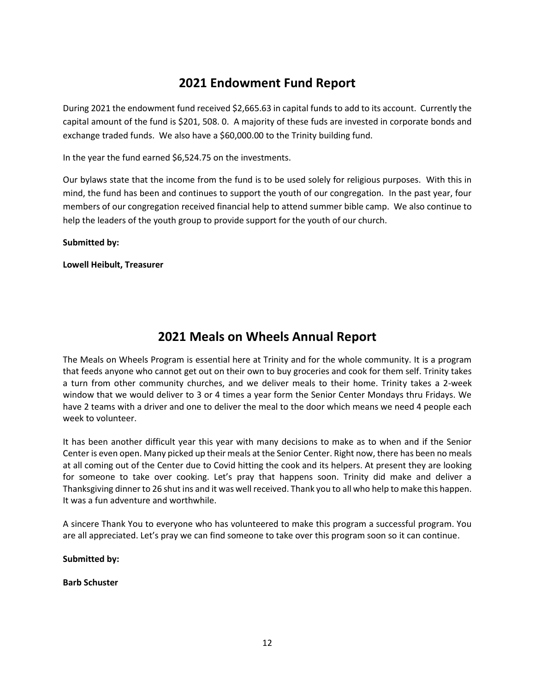# **2021 Endowment Fund Report**

During 2021 the endowment fund received \$2,665.63 in capital funds to add to its account. Currently the capital amount of the fund is \$201, 508. 0. A majority of these fuds are invested in corporate bonds and exchange traded funds. We also have a \$60,000.00 to the Trinity building fund.

In the year the fund earned \$6,524.75 on the investments.

Our bylaws state that the income from the fund is to be used solely for religious purposes. With this in mind, the fund has been and continues to support the youth of our congregation. In the past year, four members of our congregation received financial help to attend summer bible camp. We also continue to help the leaders of the youth group to provide support for the youth of our church.

#### **Submitted by:**

**Lowell Heibult, Treasurer**

### **2021 Meals on Wheels Annual Report**

The Meals on Wheels Program is essential here at Trinity and for the whole community. It is a program that feeds anyone who cannot get out on their own to buy groceries and cook for them self. Trinity takes a turn from other community churches, and we deliver meals to their home. Trinity takes a 2-week window that we would deliver to 3 or 4 times a year form the Senior Center Mondays thru Fridays. We have 2 teams with a driver and one to deliver the meal to the door which means we need 4 people each week to volunteer.

It has been another difficult year this year with many decisions to make as to when and if the Senior Center is even open. Many picked up their meals at the Senior Center. Right now, there has been no meals at all coming out of the Center due to Covid hitting the cook and its helpers. At present they are looking for someone to take over cooking. Let's pray that happens soon. Trinity did make and deliver a Thanksgiving dinner to 26 shut ins and it was well received. Thank you to all who help to make this happen. It was a fun adventure and worthwhile.

A sincere Thank You to everyone who has volunteered to make this program a successful program. You are all appreciated. Let's pray we can find someone to take over this program soon so it can continue.

**Submitted by:** 

#### **Barb Schuster**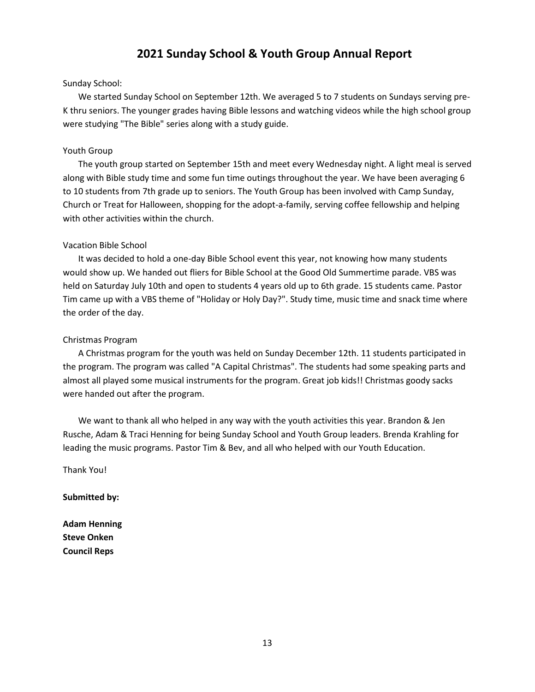### **2021 Sunday School & Youth Group Annual Report**

#### Sunday School:

 We started Sunday School on September 12th. We averaged 5 to 7 students on Sundays serving pre-K thru seniors. The younger grades having Bible lessons and watching videos while the high school group were studying "The Bible" series along with a study guide.

#### Youth Group

 The youth group started on September 15th and meet every Wednesday night. A light meal is served along with Bible study time and some fun time outings throughout the year. We have been averaging 6 to 10 students from 7th grade up to seniors. The Youth Group has been involved with Camp Sunday, Church or Treat for Halloween, shopping for the adopt-a-family, serving coffee fellowship and helping with other activities within the church.

#### Vacation Bible School

 It was decided to hold a one-day Bible School event this year, not knowing how many students would show up. We handed out fliers for Bible School at the Good Old Summertime parade. VBS was held on Saturday July 10th and open to students 4 years old up to 6th grade. 15 students came. Pastor Tim came up with a VBS theme of "Holiday or Holy Day?". Study time, music time and snack time where the order of the day.

#### Christmas Program

 A Christmas program for the youth was held on Sunday December 12th. 11 students participated in the program. The program was called "A Capital Christmas". The students had some speaking parts and almost all played some musical instruments for the program. Great job kids!! Christmas goody sacks were handed out after the program.

 We want to thank all who helped in any way with the youth activities this year. Brandon & Jen Rusche, Adam & Traci Henning for being Sunday School and Youth Group leaders. Brenda Krahling for leading the music programs. Pastor Tim & Bev, and all who helped with our Youth Education.

Thank You!

**Submitted by:**

**Adam Henning Steve Onken Council Reps**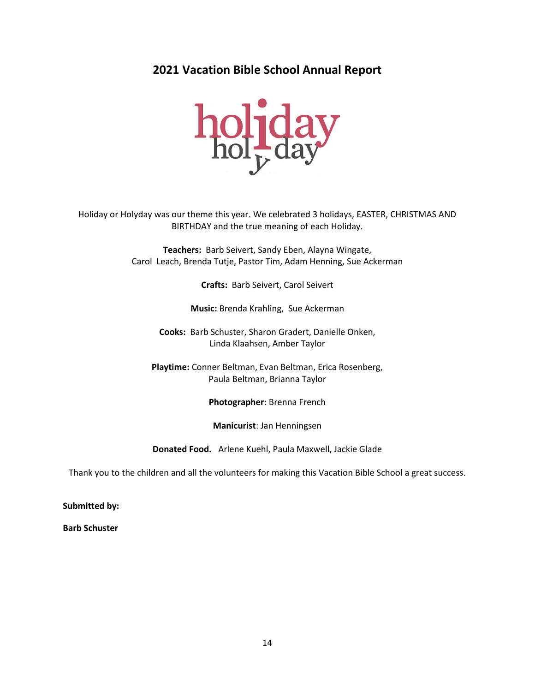**2021 Vacation Bible School Annual Report**



Holiday or Holyday was our theme this year. We celebrated 3 holidays, EASTER, CHRISTMAS AND BIRTHDAY and the true meaning of each Holiday.

> **Teachers:** Barb Seivert, Sandy Eben, Alayna Wingate, Carol Leach, Brenda Tutje, Pastor Tim, Adam Henning, Sue Ackerman

> > **Crafts:** Barb Seivert, Carol Seivert

**Music:** Brenda Krahling, Sue Ackerman

**Cooks:** Barb Schuster, Sharon Gradert, Danielle Onken, Linda Klaahsen, Amber Taylor

**Playtime:** Conner Beltman, Evan Beltman, Erica Rosenberg, Paula Beltman, Brianna Taylor

**Photographer**: Brenna French

**Manicurist**: Jan Henningsen

**Donated Food.** Arlene Kuehl, Paula Maxwell, Jackie Glade

Thank you to the children and all the volunteers for making this Vacation Bible School a great success.

**Submitted by:**

**Barb Schuster**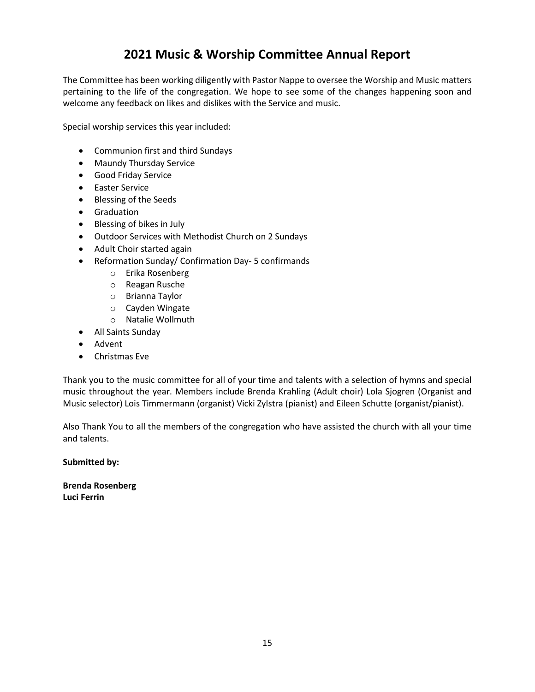# **2021 Music & Worship Committee Annual Report**

The Committee has been working diligently with Pastor Nappe to oversee the Worship and Music matters pertaining to the life of the congregation. We hope to see some of the changes happening soon and welcome any feedback on likes and dislikes with the Service and music.

Special worship services this year included:

- Communion first and third Sundays
- Maundy Thursday Service
- Good Friday Service
- Easter Service
- Blessing of the Seeds
- Graduation
- Blessing of bikes in July
- Outdoor Services with Methodist Church on 2 Sundays
- Adult Choir started again
- Reformation Sunday/ Confirmation Day- 5 confirmands
	- o Erika Rosenberg
	- o Reagan Rusche
	- o Brianna Taylor
	- o Cayden Wingate
	- o Natalie Wollmuth
- All Saints Sunday
- Advent
- Christmas Eve

Thank you to the music committee for all of your time and talents with a selection of hymns and special music throughout the year. Members include Brenda Krahling (Adult choir) Lola Sjogren (Organist and Music selector) Lois Timmermann (organist) Vicki Zylstra (pianist) and Eileen Schutte (organist/pianist).

Also Thank You to all the members of the congregation who have assisted the church with all your time and talents.

**Submitted by:** 

**Brenda Rosenberg Luci Ferrin**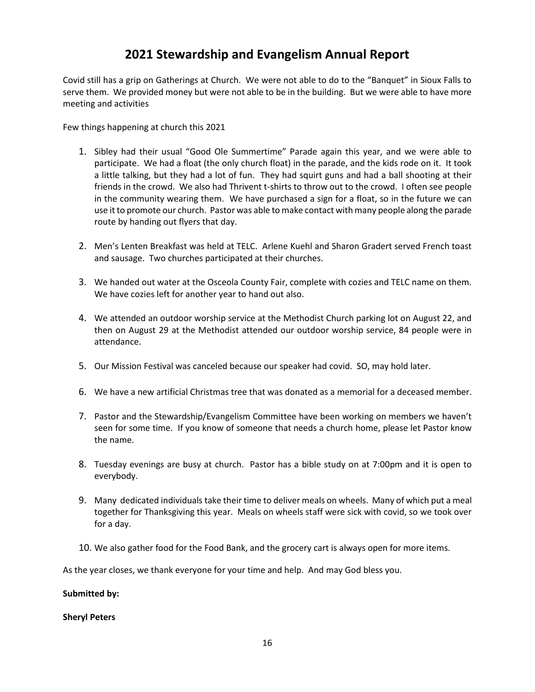# **2021 Stewardship and Evangelism Annual Report**

Covid still has a grip on Gatherings at Church. We were not able to do to the "Banquet" in Sioux Falls to serve them. We provided money but were not able to be in the building. But we were able to have more meeting and activities

Few things happening at church this 2021

- 1. Sibley had their usual "Good Ole Summertime" Parade again this year, and we were able to participate. We had a float (the only church float) in the parade, and the kids rode on it. It took a little talking, but they had a lot of fun. They had squirt guns and had a ball shooting at their friends in the crowd. We also had Thrivent t-shirts to throw out to the crowd. I often see people in the community wearing them. We have purchased a sign for a float, so in the future we can use it to promote our church. Pastor was able to make contact with many people along the parade route by handing out flyers that day.
- 2. Men's Lenten Breakfast was held at TELC. Arlene Kuehl and Sharon Gradert served French toast and sausage. Two churches participated at their churches.
- 3. We handed out water at the Osceola County Fair, complete with cozies and TELC name on them. We have cozies left for another year to hand out also.
- 4. We attended an outdoor worship service at the Methodist Church parking lot on August 22, and then on August 29 at the Methodist attended our outdoor worship service, 84 people were in attendance.
- 5. Our Mission Festival was canceled because our speaker had covid. SO, may hold later.
- 6. We have a new artificial Christmas tree that was donated as a memorial for a deceased member.
- 7. Pastor and the Stewardship/Evangelism Committee have been working on members we haven't seen for some time. If you know of someone that needs a church home, please let Pastor know the name.
- 8. Tuesday evenings are busy at church. Pastor has a bible study on at 7:00pm and it is open to everybody.
- 9. Many dedicated individuals take their time to deliver meals on wheels. Many of which put a meal together for Thanksgiving this year. Meals on wheels staff were sick with covid, so we took over for a day.
- 10. We also gather food for the Food Bank, and the grocery cart is always open for more items.

As the year closes, we thank everyone for your time and help. And may God bless you.

#### **Submitted by:**

#### **Sheryl Peters**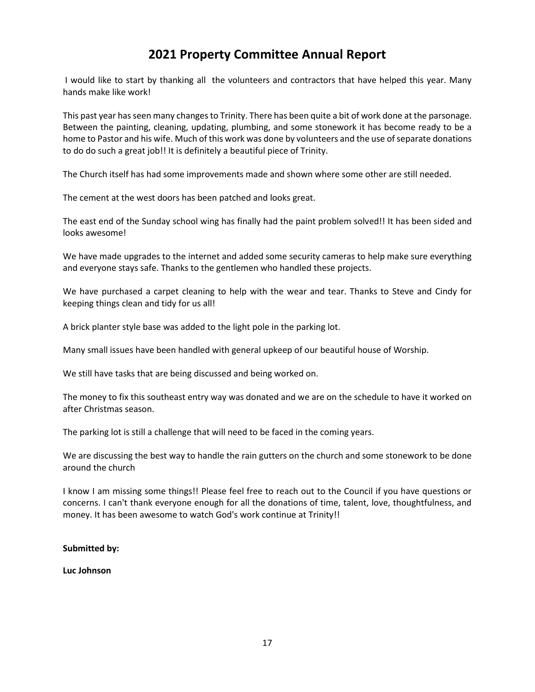# **2021 Property Committee Annual Report**

I would like to start by thanking all the volunteers and contractors that have helped this year. Many hands make like work!

This past year has seen many changes to Trinity. There has been quite a bit of work done at the parsonage. Between the painting, cleaning, updating, plumbing, and some stonework it has become ready to be a home to Pastor and his wife. Much of this work was done by volunteers and the use of separate donations to do do such a great job!! It is definitely a beautiful piece of Trinity.

The Church itself has had some improvements made and shown where some other are still needed.

The cement at the west doors has been patched and looks great.

The east end of the Sunday school wing has finally had the paint problem solved!! It has been sided and looks awesome!

We have made upgrades to the internet and added some security cameras to help make sure everything and everyone stays safe. Thanks to the gentlemen who handled these projects.

We have purchased a carpet cleaning to help with the wear and tear. Thanks to Steve and Cindy for keeping things clean and tidy for us all!

A brick planter style base was added to the light pole in the parking lot.

Many small issues have been handled with general upkeep of our beautiful house of Worship.

We still have tasks that are being discussed and being worked on.

The money to fix this southeast entry way was donated and we are on the schedule to have it worked on after Christmas season.

The parking lot is still a challenge that will need to be faced in the coming years.

We are discussing the best way to handle the rain gutters on the church and some stonework to be done around the church

I know I am missing some things!! Please feel free to reach out to the Council if you have questions or concerns. I can't thank everyone enough for all the donations of time, talent, love, thoughtfulness, and money. It has been awesome to watch God's work continue at Trinity!!

#### **Submitted by:**

**Luc Johnson**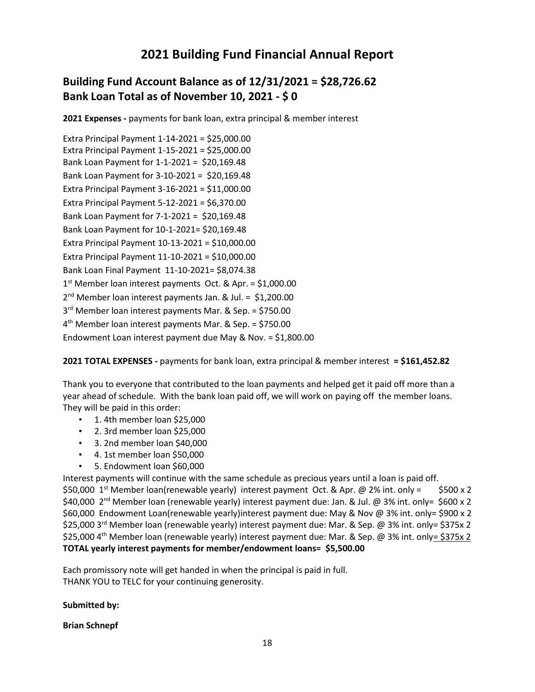# **2021 Building Fund Financial Annual Report**

### **Building Fund Account Balance as of 12/31/2021 = \$28,726.62 Bank Loan Total as of November 10, 2021 - \$ 0**

**2021 Expenses -** payments for bank loan, extra principal & member interest

Extra Principal Payment 1-14-2021 = \$25,000.00 Extra Principal Payment 1-15-2021 = \$25,000.00 Bank Loan Payment for 1-1-2021 = \$20,169.48 Bank Loan Payment for 3-10-2021 = \$20,169.48 Extra Principal Payment 3-16-2021 = \$11,000.00 Extra Principal Payment 5-12-2021 = \$6,370.00 Bank Loan Payment for 7-1-2021 = \$20,169.48 Bank Loan Payment for 10-1-2021= \$20,169.48 Extra Principal Payment 10-13-2021 = \$10,000.00 Extra Principal Payment 11-10-2021 = \$10,000.00 Bank Loan Final Payment 11-10-2021= \$8,074.38 1 st Member loan interest payments Oct. & Apr. = \$1,000.00 2 nd Member loan interest payments Jan. & Jul. = \$1,200.00 3 rd Member loan interest payments Mar. & Sep. = \$750.00 4 th Member loan interest payments Mar. & Sep. = \$750.00 Endowment Loan interest payment due May & Nov. = \$1,800.00

**2021 TOTAL EXPENSES -** payments for bank loan, extra principal & member interest **= \$161,452.82**

Thank you to everyone that contributed to the loan payments and helped get it paid off more than a year ahead of schedule. With the bank loan paid off, we will work on paying off the member loans. They will be paid in this order:

- 1. 4th member loan \$25,000
- 2. 3rd member loan \$25,000
- 3. 2nd member loan \$40,000
- 4. 1st member loan \$50,000
- 5. Endowment loan \$60,000

Interest payments will continue with the same schedule as precious years until a loan is paid off. \$50,000 1<sup>st</sup> Member loan(renewable yearly) interest payment Oct. & Apr. @ 2% int. only = \$500 x 2 \$40,000 2nd Member loan (renewable yearly) interest payment due: Jan. & Jul. @ 3% int. only= \$600 x 2 \$60,000 Endowment Loan(renewable yearly)interest payment due: May & Nov @ 3% int. only= \$900 x 2 \$25,000 3<sup>rd</sup> Member loan (renewable yearly) interest payment due: Mar. & Sep. @ 3% int. only= \$375x 2 \$25,000 4th Member loan (renewable yearly) interest payment due: Mar. & Sep. @ 3% int. only= \$375x 2 **TOTAL yearly interest payments for member/endowment loans= \$5,500.00**

Each promissory note will get handed in when the principal is paid in full. THANK YOU to TELC for your continuing generosity.

#### **Submitted by:**

#### **Brian Schnepf**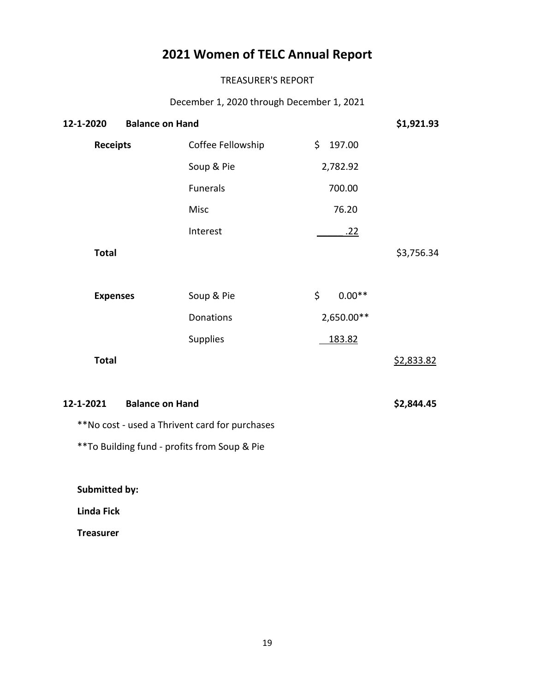# **2021 Women of TELC Annual Report**

#### TREASURER'S REPORT

December 1, 2020 through December 1, 2021

| 12-1-2020<br><b>Balance on Hand</b> | \$1,921.93                                     |                |            |
|-------------------------------------|------------------------------------------------|----------------|------------|
| <b>Receipts</b>                     | Coffee Fellowship                              | \$<br>197.00   |            |
|                                     | Soup & Pie                                     | 2,782.92       |            |
|                                     | Funerals                                       | 700.00         |            |
|                                     | Misc                                           | 76.20          |            |
|                                     | Interest                                       | <u>.22</u>     |            |
| <b>Total</b>                        |                                                |                | \$3,756.34 |
|                                     |                                                |                |            |
| <b>Expenses</b>                     | Soup & Pie                                     | \$<br>$0.00**$ |            |
|                                     | Donations                                      | 2,650.00**     |            |
|                                     | <b>Supplies</b>                                | 183.82         |            |
| <b>Total</b>                        |                                                |                | \$2,833.82 |
|                                     |                                                |                |            |
| 12-1-2021                           | <b>Balance on Hand</b>                         |                | \$2,844.45 |
|                                     | **No cost - used a Thrivent card for purchases |                |            |

\*\*To Building fund - profits from Soup & Pie

**Submitted by:**

 **Linda Fick**

 **Treasurer**